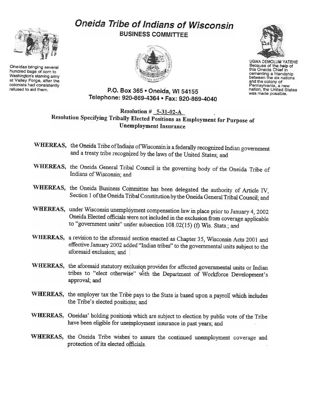## Oneida Tribe of Indians of Wisconsin BUSINESS COMMITTEE



Oneidas bringing several hundred bags of corn to Washington's starving army at Valley Forge, after the colonists had consistently refused to aid them.





UGWA DEMOlUM YATEHE Because of the help of this Oneida Chief in cementing a friendship between the six nations<br>and the colony of Pennsylvania, a new nation, the United States was made possible.

## P.O. Box 365 . Oneida, WI 54155 Telephone: 920-869-4364 · Fax: 920-869-4040

Resolution  $# 5-31-02-A$ Resolution Specifying Tribally Elected Positions as Employment for Purpose of Unemployment Insurance

- WHEREAS, the Oneida Tribe of Indians of Wisconsin is a federally recognized Indian government and a treaty tribe recognized by the laws of the United States; and
- WHEREAS, the Oneida General Tribal Council is the governing body of the Oneida Tribe of Indians of Wisconsin; and
- WHEREAS, the Oneida Business Committee has been delegated the authority of Article IV, Section 1 of the Oneida Tribal Constitution by the Oneida General Tribal Council; and
- WHEREAS, under Wisconsin unemployment compensation law in place prior to January 4, 2002 Oneida Elected officials were not included in the exclusion from coverage applicable to "government units" under subsection 108.02(15) (f) Wis. Stats.; and
- WHEREAS, a revision to the aforesaiq sectiop enacted as Chapter 35, Wisconsin Acts 2001 and effective January 2002 added "Indian tribes" to the governmental units subject to the aforesaid exclusion; and 1
- WHEREAS, the aforesaid statutory exclusion provides for affected governmental units or Indian tribes to "elect otherwise" with the Department of Workforce Development's approval; and
- WHEREAS, the employer tax the Tribe pays to the State is based upon a payroll which includes the Tribe's elected positidns; and
- WHEREAS, Oneidas' holding positions which are subject to election by public vote of the Tribe have been eligible for unemployment insurance in past years; and
- WHEREAS, the Oneida Tribe wishes to assure the continued unemployment coverage and protection of its elected officials.